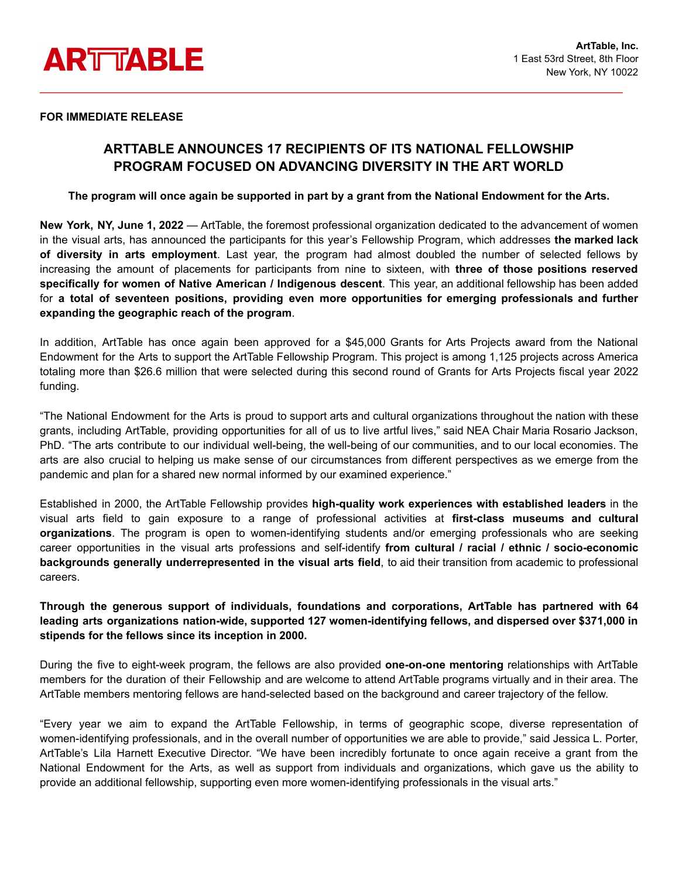

### **FOR IMMEDIATE RELEASE**

# **ARTTABLE ANNOUNCES 17 RECIPIENTS OF ITS NATIONAL FELLOWSHIP PROGRAM FOCUSED ON ADVANCING DIVERSITY IN THE ART WORLD**

\_\_\_\_\_\_\_\_\_\_\_\_\_\_\_\_\_\_\_\_\_\_\_\_\_\_\_\_\_\_\_\_\_\_\_\_\_\_\_\_\_\_\_\_\_\_\_\_\_\_\_\_\_\_\_\_\_\_\_\_\_\_\_\_\_\_\_\_\_\_\_\_\_\_\_\_\_\_\_\_\_\_\_\_\_\_

### The program will once again be supported in part by a grant from the National Endowment for the Arts.

**New York, NY, June 1, 2022** — ArtTable, the foremost professional organization dedicated to the advancement of women in the visual arts, has announced the participants for this year's Fellowship Program, which addresses **the marked lack of diversity in arts employment**. Last year, the program had almost doubled the number of selected fellows by increasing the amount of placements for participants from nine to sixteen, with **three of those positions reserved specifically for women of Native American / Indigenous descent**. This year, an additional fellowship has been added for **a total of seventeen positions, providing even more opportunities for emerging professionals and further expanding the geographic reach of the program**.

In addition, ArtTable has once again been approved for a \$45,000 Grants for Arts Projects award from the National Endowment for the Arts to support the ArtTable Fellowship Program. This project is among 1,125 projects across America totaling more than \$26.6 million that were selected during this second round of Grants for Arts Projects fiscal year 2022 funding.

"The National Endowment for the Arts is proud to support arts and cultural organizations throughout the nation with these grants, including ArtTable, providing opportunities for all of us to live artful lives," said NEA Chair Maria Rosario Jackson, PhD. "The arts contribute to our individual well-being, the well-being of our communities, and to our local economies. The arts are also crucial to helping us make sense of our circumstances from different perspectives as we emerge from the pandemic and plan for a shared new normal informed by our examined experience."

Established in 2000, the ArtTable Fellowship provides **high-quality work experiences with established leaders** in the visual arts field to gain exposure to a range of professional activities at **first-class museums and cultural organizations**. The program is open to women-identifying students and/or emerging professionals who are seeking career opportunities in the visual arts professions and self-identify **from cultural / racial / ethnic / socio-economic backgrounds generally underrepresented in the visual arts field**, to aid their transition from academic to professional careers.

## **Through the generous support of individuals, foundations and corporations, ArtTable has partnered with 64 leading arts organizations nation-wide, supported 127 women-identifying fellows, and dispersed over \$371,000 in stipends for the fellows since its inception in 2000.**

During the five to eight-week program, the fellows are also provided **one-on-one mentoring** relationships with ArtTable members for the duration of their Fellowship and are welcome to attend ArtTable programs virtually and in their area. The ArtTable members mentoring fellows are hand-selected based on the background and career trajectory of the fellow.

"Every year we aim to expand the ArtTable Fellowship, in terms of geographic scope, diverse representation of women-identifying professionals, and in the overall number of opportunities we are able to provide," said Jessica L. Porter, ArtTable's Lila Harnett Executive Director. "We have been incredibly fortunate to once again receive a grant from the National Endowment for the Arts, as well as support from individuals and organizations, which gave us the ability to provide an additional fellowship, supporting even more women-identifying professionals in the visual arts."